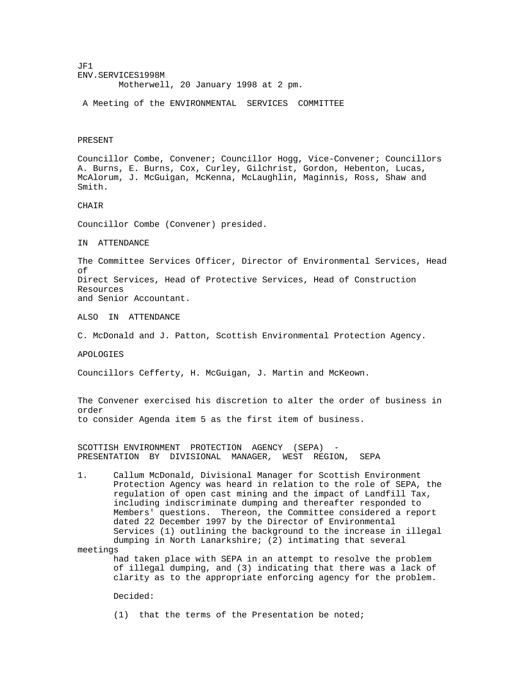JF1 ENV.SERVICES1998M Motherwell, 20 January 1998 at 2 pm.

A Meeting of the ENVIRONMENTAL SERVICES COMMITTEE

#### PRESENT

Councillor Combe, Convener; Councillor Hogg, Vice-Convener; Councillors A. Burns, E. Burns, Cox, Curley, Gilchrist, Gordon, Hebenton, Lucas, McAlorum, J. McGuigan, McKenna, McLaughlin, Maginnis, Ross, Shaw and Smith.

#### CHAIR

Councillor Combe (Convener) presided.

IN ATTENDANCE

The Committee Services Officer, Director of Environmental Services, Head of Direct Services, Head of Protective Services, Head of Construction Resources and Senior Accountant.

ALSO IN ATTENDANCE

C. McDonald and J. Patton, Scottish Environmental Protection Agency.

APOLOGIES

Councillors Cefferty, H. McGuigan, J. Martin and McKeown.

The Convener exercised his discretion to alter the order of business in order to consider Agenda item 5 as the first item of business.

SCOTTISH ENVIRONMENT PROTECTION AGENCY (SEPA) PRESENTATION BY DIVISIONAL MANAGER, WEST REGION, SEPA

1. Callum McDonald, Divisional Manager for Scottish Environment Protection Agency was heard in relation to the role of SEPA, the regulation of open cast mining and the impact of Landfill Tax, including indiscriminate dumping and thereafter responded to Members' questions. Thereon, the Committee considered a report dated 22 December 1997 by the Director of Environmental Services (1) outlining the background to the increase in illegal dumping in North Lanarkshire; (2) intimating that several

meetings had taken place with SEPA in an attempt to resolve the problem of illegal dumping, and (3) indicating that there was a lack of clarity as to the appropriate enforcing agency for the problem.

Decided:

(1) that the terms of the Presentation be noted;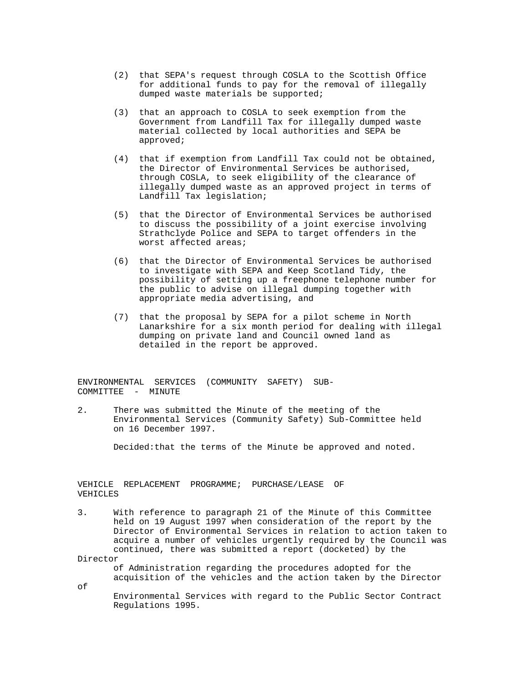- (2) that SEPA's request through COSLA to the Scottish Office for additional funds to pay for the removal of illegally dumped waste materials be supported;
- (3) that an approach to COSLA to seek exemption from the Government from Landfill Tax for illegally dumped waste material collected by local authorities and SEPA be approved;
- (4) that if exemption from Landfill Tax could not be obtained, the Director of Environmental Services be authorised, through COSLA, to seek eligibility of the clearance of illegally dumped waste as an approved project in terms of Landfill Tax legislation;
- (5) that the Director of Environmental Services be authorised to discuss the possibility of a joint exercise involving Strathclyde Police and SEPA to target offenders in the worst affected areas;
- (6) that the Director of Environmental Services be authorised to investigate with SEPA and Keep Scotland Tidy, the possibility of setting up a freephone telephone number for the public to advise on illegal dumping together with appropriate media advertising, and
- (7) that the proposal by SEPA for a pilot scheme in North Lanarkshire for a six month period for dealing with illegal dumping on private land and Council owned land as detailed in the report be approved.

ENVIRONMENTAL SERVICES (COMMUNITY SAFETY) SUB-COMMITTEE - MINUTE

2. There was submitted the Minute of the meeting of the Environmental Services (Community Safety) Sub-Committee held on 16 December 1997.

Decided:that the terms of the Minute be approved and noted.

VEHICLE REPLACEMENT PROGRAMME; PURCHASE/LEASE OF VEHICLES

of

3. With reference to paragraph 21 of the Minute of this Committee held on 19 August 1997 when consideration of the report by the Director of Environmental Services in relation to action taken to acquire a number of vehicles urgently required by the Council was continued, there was submitted a report (docketed) by the Director

 of Administration regarding the procedures adopted for the acquisition of the vehicles and the action taken by the Director

 Environmental Services with regard to the Public Sector Contract Regulations 1995.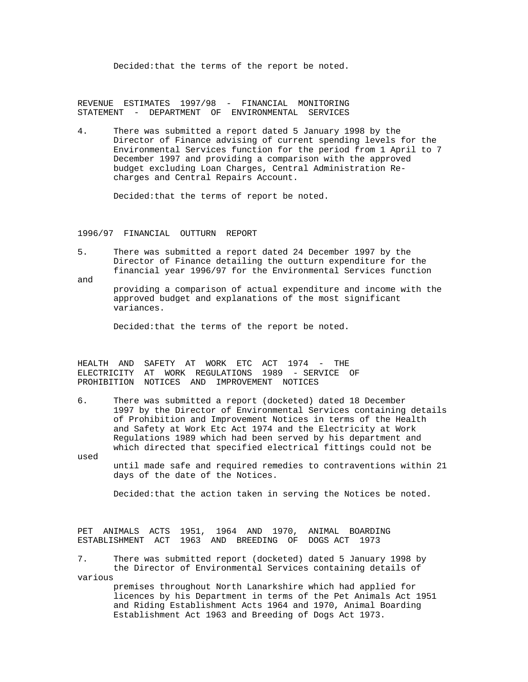Decided:that the terms of the report be noted.

REVENUE ESTIMATES 1997/98 - FINANCIAL MONITORING STATEMENT - DEPARTMENT OF ENVIRONMENTAL SERVICES

4. There was submitted a report dated 5 January 1998 by the Director of Finance advising of current spending levels for the Environmental Services function for the period from 1 April to 7 December 1997 and providing a comparison with the approved budget excluding Loan Charges, Central Administration Re charges and Central Repairs Account.

Decided:that the terms of report be noted.

1996/97 FINANCIAL OUTTURN REPORT

5. There was submitted a report dated 24 December 1997 by the Director of Finance detailing the outturn expenditure for the financial year 1996/97 for the Environmental Services function

and

 providing a comparison of actual expenditure and income with the approved budget and explanations of the most significant variances.

Decided:that the terms of the report be noted.

HEALTH AND SAFETY AT WORK ETC ACT 1974 - THE ELECTRICITY AT WORK REGULATIONS 1989 - SERVICE OF PROHIBITION NOTICES AND IMPROVEMENT NOTICES

6. There was submitted a report (docketed) dated 18 December 1997 by the Director of Environmental Services containing details of Prohibition and Improvement Notices in terms of the Health and Safety at Work Etc Act 1974 and the Electricity at Work Regulations 1989 which had been served by his department and which directed that specified electrical fittings could not be used

 until made safe and required remedies to contraventions within 21 days of the date of the Notices.

Decided:that the action taken in serving the Notices be noted.

PET ANIMALS ACTS 1951, 1964 AND 1970, ANIMAL BOARDING ESTABLISHMENT ACT 1963 AND BREEDING OF DOGS ACT 1973

7. There was submitted report (docketed) dated 5 January 1998 by the Director of Environmental Services containing details of various

 premises throughout North Lanarkshire which had applied for licences by his Department in terms of the Pet Animals Act 1951 and Riding Establishment Acts 1964 and 1970, Animal Boarding Establishment Act 1963 and Breeding of Dogs Act 1973.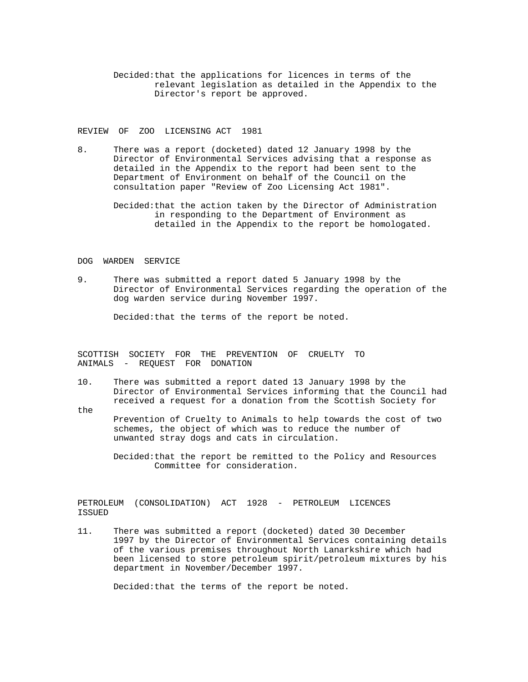Decided:that the applications for licences in terms of the relevant legislation as detailed in the Appendix to the Director's report be approved.

REVIEW OF ZOO LICENSING ACT 1981

8. There was a report (docketed) dated 12 January 1998 by the Director of Environmental Services advising that a response as detailed in the Appendix to the report had been sent to the Department of Environment on behalf of the Council on the consultation paper "Review of Zoo Licensing Act 1981".

 Decided:that the action taken by the Director of Administration in responding to the Department of Environment as detailed in the Appendix to the report be homologated.

## DOG WARDEN SERVICE

the

9. There was submitted a report dated 5 January 1998 by the Director of Environmental Services regarding the operation of the dog warden service during November 1997.

Decided:that the terms of the report be noted.

SCOTTISH SOCIETY FOR THE PREVENTION OF CRUELTY TO ANIMALS - REQUEST FOR DONATION

10. There was submitted a report dated 13 January 1998 by the Director of Environmental Services informing that the Council had received a request for a donation from the Scottish Society for

 Prevention of Cruelty to Animals to help towards the cost of two schemes, the object of which was to reduce the number of unwanted stray dogs and cats in circulation.

 Decided:that the report be remitted to the Policy and Resources Committee for consideration.

PETROLEUM (CONSOLIDATION) ACT 1928 - PETROLEUM LICENCES ISSUED

11. There was submitted a report (docketed) dated 30 December 1997 by the Director of Environmental Services containing details of the various premises throughout North Lanarkshire which had been licensed to store petroleum spirit/petroleum mixtures by his department in November/December 1997.

Decided:that the terms of the report be noted.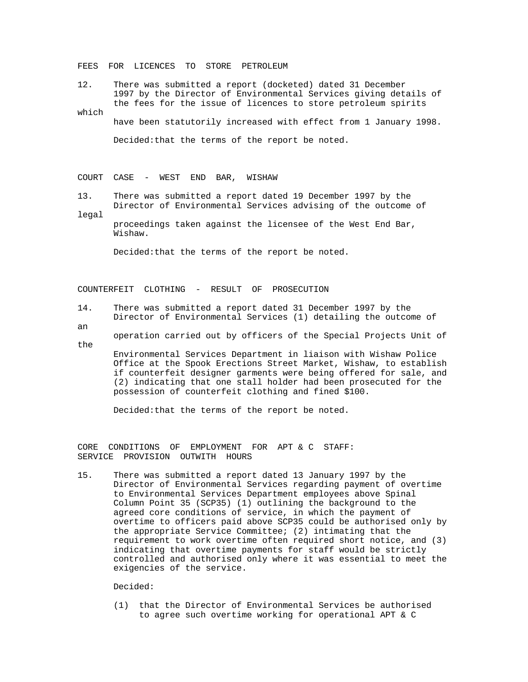FEES FOR LICENCES TO STORE PETROLEUM

12. There was submitted a report (docketed) dated 31 December 1997 by the Director of Environmental Services giving details of the fees for the issue of licences to store petroleum spirits

have been statutorily increased with effect from 1 January 1998.

Decided:that the terms of the report be noted.

COURT CASE - WEST END BAR, WISHAW

13. There was submitted a report dated 19 December 1997 by the Director of Environmental Services advising of the outcome of

legal proceedings taken against the licensee of the West End Bar, Wishaw.

Decided:that the terms of the report be noted.

COUNTERFEIT CLOTHING - RESULT OF PROSECUTION

- 14. There was submitted a report dated 31 December 1997 by the Director of Environmental Services (1) detailing the outcome of
- an

which

 operation carried out by officers of the Special Projects Unit of the

 Environmental Services Department in liaison with Wishaw Police Office at the Spook Erections Street Market, Wishaw, to establish if counterfeit designer garments were being offered for sale, and (2) indicating that one stall holder had been prosecuted for the possession of counterfeit clothing and fined \$100.

Decided:that the terms of the report be noted.

CORE CONDITIONS OF EMPLOYMENT FOR APT & C STAFF: SERVICE PROVISION OUTWITH HOURS

15. There was submitted a report dated 13 January 1997 by the Director of Environmental Services regarding payment of overtime to Environmental Services Department employees above Spinal Column Point 35 (SCP35) (1) outlining the background to the agreed core conditions of service, in which the payment of overtime to officers paid above SCP35 could be authorised only by the appropriate Service Committee; (2) intimating that the requirement to work overtime often required short notice, and (3) indicating that overtime payments for staff would be strictly controlled and authorised only where it was essential to meet the exigencies of the service.

Decided:

 (1) that the Director of Environmental Services be authorised to agree such overtime working for operational APT & C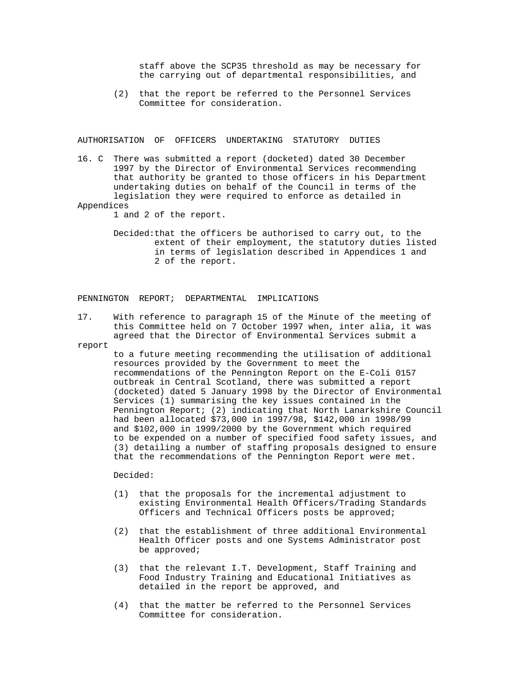staff above the SCP35 threshold as may be necessary for the carrying out of departmental responsibilities, and

 (2) that the report be referred to the Personnel Services Committee for consideration.

## AUTHORISATION OF OFFICERS UNDERTAKING STATUTORY DUTIES

16. C There was submitted a report (docketed) dated 30 December 1997 by the Director of Environmental Services recommending that authority be granted to those officers in his Department undertaking duties on behalf of the Council in terms of the legislation they were required to enforce as detailed in Appendices

1 and 2 of the report.

 Decided:that the officers be authorised to carry out, to the extent of their employment, the statutory duties listed in terms of legislation described in Appendices 1 and 2 of the report.

# PENNINGTON REPORT; DEPARTMENTAL IMPLICATIONS

17. With reference to paragraph 15 of the Minute of the meeting of this Committee held on 7 October 1997 when, inter alia, it was agreed that the Director of Environmental Services submit a report

 to a future meeting recommending the utilisation of additional resources provided by the Government to meet the recommendations of the Pennington Report on the E-Coli 0157 outbreak in Central Scotland, there was submitted a report (docketed) dated 5 January 1998 by the Director of Environmental Services (1) summarising the key issues contained in the Pennington Report; (2) indicating that North Lanarkshire Council had been allocated \$73,000 in 1997/98, \$142,000 in 1998/99 and \$102,000 in 1999/2000 by the Government which required to be expended on a number of specified food safety issues, and (3) detailing a number of staffing proposals designed to ensure that the recommendations of the Pennington Report were met.

Decided:

- (1) that the proposals for the incremental adjustment to existing Environmental Health Officers/Trading Standards Officers and Technical Officers posts be approved;
- (2) that the establishment of three additional Environmental Health Officer posts and one Systems Administrator post be approved;
- (3) that the relevant I.T. Development, Staff Training and Food Industry Training and Educational Initiatives as detailed in the report be approved, and
- (4) that the matter be referred to the Personnel Services Committee for consideration.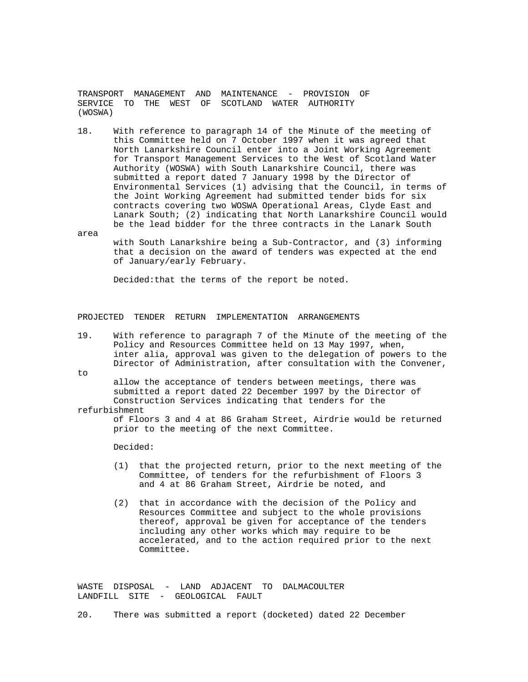TRANSPORT MANAGEMENT AND MAINTENANCE - PROVISION OF SERVICE TO THE WEST OF SCOTLAND WATER AUTHORITY (WOSWA)

- 18. With reference to paragraph 14 of the Minute of the meeting of this Committee held on 7 October 1997 when it was agreed that North Lanarkshire Council enter into a Joint Working Agreement for Transport Management Services to the West of Scotland Water Authority (WOSWA) with South Lanarkshire Council, there was submitted a report dated 7 January 1998 by the Director of Environmental Services (1) advising that the Council, in terms of the Joint Working Agreement had submitted tender bids for six contracts covering two WOSWA Operational Areas, Clyde East and Lanark South; (2) indicating that North Lanarkshire Council would be the lead bidder for the three contracts in the Lanark South
- area

 with South Lanarkshire being a Sub-Contractor, and (3) informing that a decision on the award of tenders was expected at the end of January/early February.

Decided:that the terms of the report be noted.

# PROJECTED TENDER RETURN IMPLEMENTATION ARRANGEMENTS

19. With reference to paragraph 7 of the Minute of the meeting of the Policy and Resources Committee held on 13 May 1997, when, inter alia, approval was given to the delegation of powers to the Director of Administration, after consultation with the Convener,

to

 allow the acceptance of tenders between meetings, there was submitted a report dated 22 December 1997 by the Director of Construction Services indicating that tenders for the

refurbishment

 of Floors 3 and 4 at 86 Graham Street, Airdrie would be returned prior to the meeting of the next Committee.

Decided:

- (1) that the projected return, prior to the next meeting of the Committee, of tenders for the refurbishment of Floors 3 and 4 at 86 Graham Street, Airdrie be noted, and
- (2) that in accordance with the decision of the Policy and Resources Committee and subject to the whole provisions thereof, approval be given for acceptance of the tenders including any other works which may require to be accelerated, and to the action required prior to the next Committee.

WASTE DISPOSAL - LAND ADJACENT TO DALMACOULTER LANDFILL SITE - GEOLOGICAL FAULT

20. There was submitted a report (docketed) dated 22 December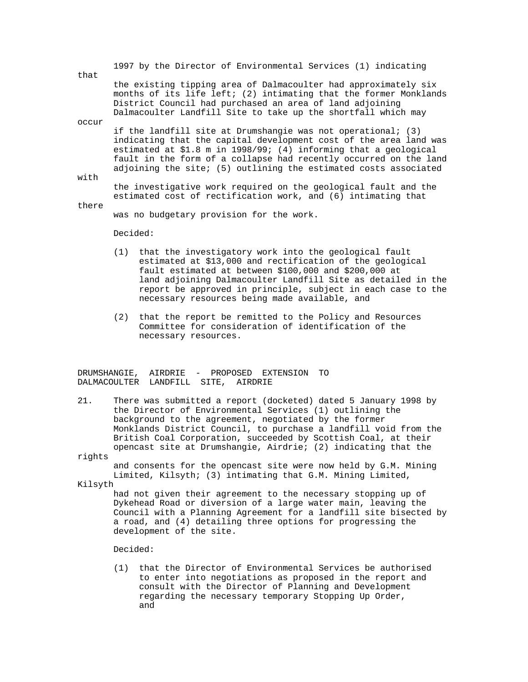| that  | 1997 by the Director of Environmental Services (1) indicating                                                                                                                                                                                                                                                                                    |
|-------|--------------------------------------------------------------------------------------------------------------------------------------------------------------------------------------------------------------------------------------------------------------------------------------------------------------------------------------------------|
|       | the existing tipping area of Dalmacoulter had approximately six<br>months of its life left; (2) intimating that the former Monklands<br>District Council had purchased an area of land adjoining<br>Dalmacoulter Landfill Site to take up the shortfall which may                                                                                |
| occur |                                                                                                                                                                                                                                                                                                                                                  |
|       | if the landfill site at Drumshangie was not operational; (3)<br>indicating that the capital development cost of the area land was<br>estimated at \$1.8 m in 1998/99; $(4)$ informing that a geological<br>fault in the form of a collapse had recently occurred on the land<br>adjoining the site; (5) outlining the estimated costs associated |
| with  |                                                                                                                                                                                                                                                                                                                                                  |
| there | the investigative work required on the geological fault and the<br>estimated cost of rectification work, and (6) intimating that                                                                                                                                                                                                                 |
|       | was no budgetary provision for the work.                                                                                                                                                                                                                                                                                                         |

Decided:

- (1) that the investigatory work into the geological fault estimated at \$13,000 and rectification of the geological fault estimated at between \$100,000 and \$200,000 at land adjoining Dalmacoulter Landfill Site as detailed in the report be approved in principle, subject in each case to the necessary resources being made available, and
- (2) that the report be remitted to the Policy and Resources Committee for consideration of identification of the necessary resources.

DRUMSHANGIE, AIRDRIE - PROPOSED EXTENSION TO DALMACOULTER LANDFILL SITE, AIRDRIE

21. There was submitted a report (docketed) dated 5 January 1998 by the Director of Environmental Services (1) outlining the background to the agreement, negotiated by the former Monklands District Council, to purchase a landfill void from the British Coal Corporation, succeeded by Scottish Coal, at their opencast site at Drumshangie, Airdrie; (2) indicating that the rights

 and consents for the opencast site were now held by G.M. Mining Limited, Kilsyth; (3) intimating that G.M. Mining Limited,

Kilsyth

 had not given their agreement to the necessary stopping up of Dykehead Road or diversion of a large water main, leaving the Council with a Planning Agreement for a landfill site bisected by a road, and (4) detailing three options for progressing the development of the site.

Decided:

 (1) that the Director of Environmental Services be authorised to enter into negotiations as proposed in the report and consult with the Director of Planning and Development regarding the necessary temporary Stopping Up Order, and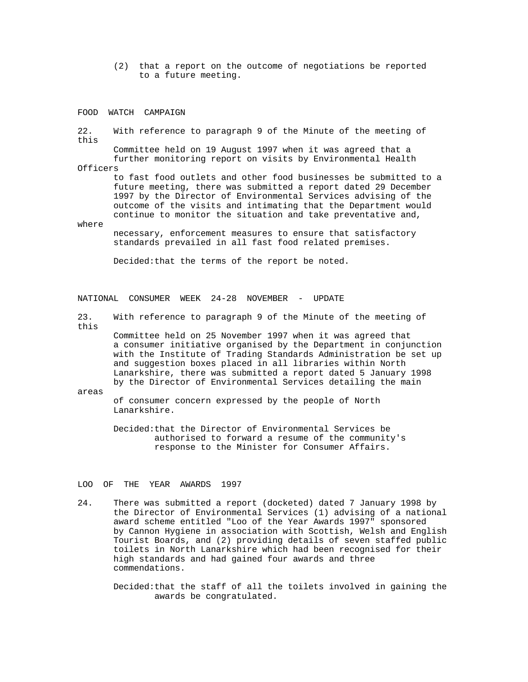(2) that a report on the outcome of negotiations be reported to a future meeting.

FOOD WATCH CAMPAIGN

22. With reference to paragraph 9 of the Minute of the meeting of this

 Committee held on 19 August 1997 when it was agreed that a further monitoring report on visits by Environmental Health

Officers

 to fast food outlets and other food businesses be submitted to a future meeting, there was submitted a report dated 29 December 1997 by the Director of Environmental Services advising of the outcome of the visits and intimating that the Department would continue to monitor the situation and take preventative and,

### where

 necessary, enforcement measures to ensure that satisfactory standards prevailed in all fast food related premises.

Decided:that the terms of the report be noted.

NATIONAL CONSUMER WEEK 24-28 NOVEMBER - UPDATE

23. With reference to paragraph 9 of the Minute of the meeting of this

> Committee held on 25 November 1997 when it was agreed that a consumer initiative organised by the Department in conjunction with the Institute of Trading Standards Administration be set up and suggestion boxes placed in all libraries within North Lanarkshire, there was submitted a report dated 5 January 1998 by the Director of Environmental Services detailing the main

#### areas

 of consumer concern expressed by the people of North Lanarkshire.

 Decided:that the Director of Environmental Services be authorised to forward a resume of the community's response to the Minister for Consumer Affairs.

### LOO OF THE YEAR AWARDS 1997

24. There was submitted a report (docketed) dated 7 January 1998 by the Director of Environmental Services (1) advising of a national award scheme entitled "Loo of the Year Awards 1997" sponsored by Cannon Hygiene in association with Scottish, Welsh and English Tourist Boards, and (2) providing details of seven staffed public toilets in North Lanarkshire which had been recognised for their high standards and had gained four awards and three commendations.

 Decided:that the staff of all the toilets involved in gaining the awards be congratulated.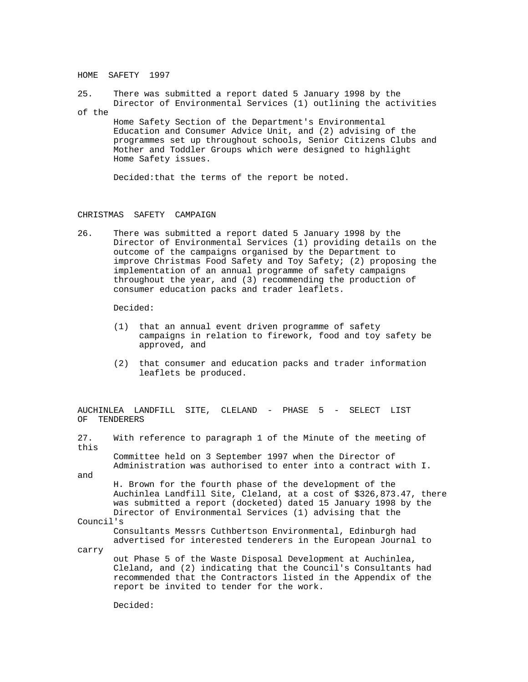### HOME SAFETY 1997

25. There was submitted a report dated 5 January 1998 by the Director of Environmental Services (1) outlining the activities of the

 Home Safety Section of the Department's Environmental Education and Consumer Advice Unit, and (2) advising of the programmes set up throughout schools, Senior Citizens Clubs and Mother and Toddler Groups which were designed to highlight Home Safety issues.

Decided:that the terms of the report be noted.

# CHRISTMAS SAFETY CAMPAIGN

26. There was submitted a report dated 5 January 1998 by the Director of Environmental Services (1) providing details on the outcome of the campaigns organised by the Department to improve Christmas Food Safety and Toy Safety; (2) proposing the implementation of an annual programme of safety campaigns throughout the year, and (3) recommending the production of consumer education packs and trader leaflets.

Decided:

- (1) that an annual event driven programme of safety campaigns in relation to firework, food and toy safety be approved, and
- (2) that consumer and education packs and trader information leaflets be produced.

AUCHINLEA LANDFILL SITE, CLELAND - PHASE 5 - SELECT LIST OF TENDERERS

27. With reference to paragraph 1 of the Minute of the meeting of this

 Committee held on 3 September 1997 when the Director of Administration was authorised to enter into a contract with I.

 H. Brown for the fourth phase of the development of the Auchinlea Landfill Site, Cleland, at a cost of \$326,873.47, there was submitted a report (docketed) dated 15 January 1998 by the Director of Environmental Services (1) advising that the

Council's

 Consultants Messrs Cuthbertson Environmental, Edinburgh had advertised for interested tenderers in the European Journal to

carry

and

 out Phase 5 of the Waste Disposal Development at Auchinlea, Cleland, and (2) indicating that the Council's Consultants had recommended that the Contractors listed in the Appendix of the report be invited to tender for the work.

Decided: